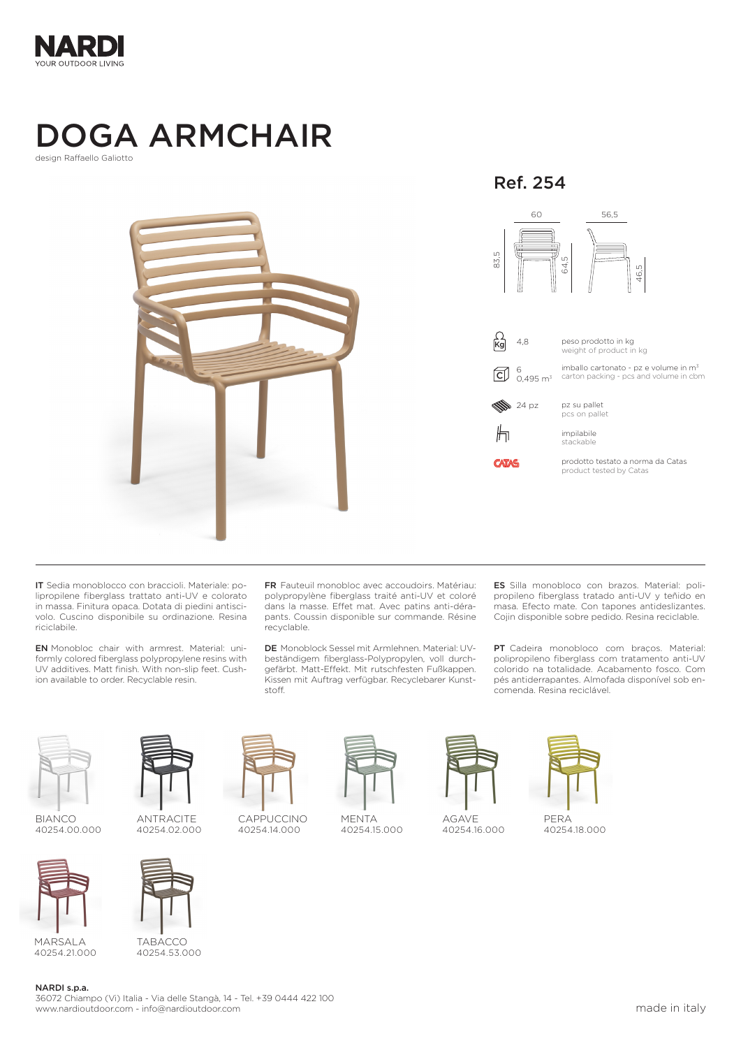

## DOGA ARMCHAIR

design Raffaello Galiotto



IT Sedia monoblocco con braccioli. Materiale: polipropilene fiberglass trattato anti-UV e colorato in massa. Finitura opaca. Dotata di piedini antiscivolo. Cuscino disponibile su ordinazione. Resina riciclabile.

EN Monobloc chair with armrest. Material: uniformly colored fiberglass polypropylene resins with UV additives. Matt finish. With non-slip feet. Cushion available to order. Recyclable resin.

FR Fauteuil monobloc avec accoudoirs. Matériau: polypropylène fiberglass traité anti-UV et coloré dans la masse. Effet mat. Avec patins anti-dérapants. Coussin disponible sur commande. Résine recyclable.

DE Monoblock Sessel mit Armlehnen. Material: UVbeständigem fiberglass-Polypropylen, voll durchgefärbt. Matt-Effekt. Mit rutschfesten Fußkappen. Kissen mit Auftrag verfügbar. Recyclebarer Kunststoff.

ES Silla monobloco con brazos. Material: polipropileno fiberglass tratado anti-UV y teñido en masa. Efecto mate. Con tapones antideslizantes. Cojin disponible sobre pedido. Resina reciclable.

PT Cadeira monobloco com braços. Material: polipropileno fiberglass com tratamento anti-UV colorido na totalidade. Acabamento fosco. Com pés antiderrapantes. Almofada disponível sob encomenda. Resina reciclável.



BIANCO 40254.00.000



MARSALA 40254.21.000



TABACCO 40254.53.000

CAPPUCCINO 40254.14.000



MENTA 40254.15.000



AGAVE  $40254.16.000$ 

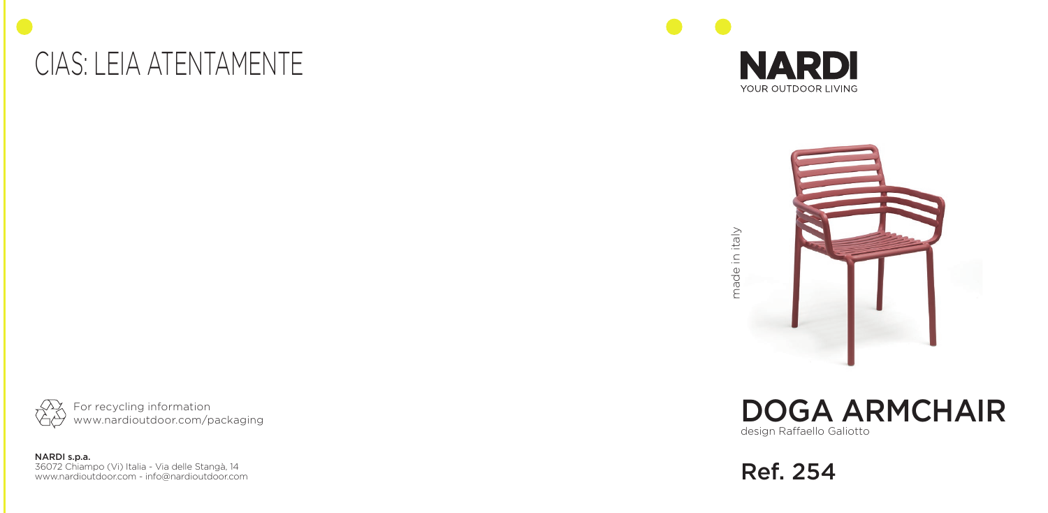### CIAS: LEIA ATENTAMENTE





made in italy made in italy



NARDI s.p.a. 36072 Chiampo (Vi) Italia - Via delle Stangà, 14 www.nardioutdoor.com - info@nardioutdoor.com design Raffaello Galiotto DOGA ARMCHAIR

Ref. 254